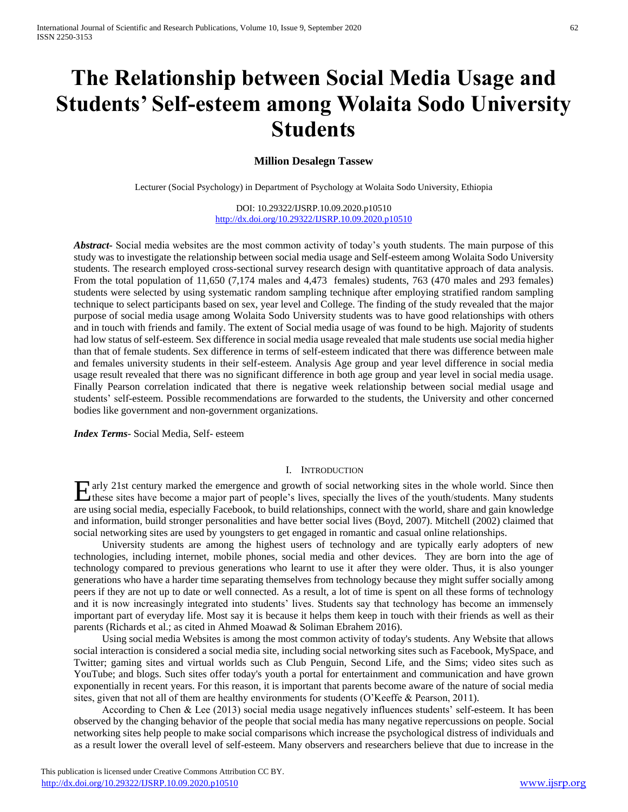# **The Relationship between Social Media Usage and Students' Self-esteem among Wolaita Sodo University Students**

## **Million Desalegn Tassew**

Lecturer (Social Psychology) in Department of Psychology at Wolaita Sodo University, Ethiopia

DOI: 10.29322/IJSRP.10.09.2020.p10510 <http://dx.doi.org/10.29322/IJSRP.10.09.2020.p10510>

*Abstract***-** Social media websites are the most common activity of today's youth students. The main purpose of this study was to investigate the relationship between social media usage and Self-esteem among Wolaita Sodo University students. The research employed cross-sectional survey research design with quantitative approach of data analysis. From the total population of 11,650 (7,174 males and 4,473 females) students, 763 (470 males and 293 females) students were selected by using systematic random sampling technique after employing stratified random sampling technique to select participants based on sex, year level and College. The finding of the study revealed that the major purpose of social media usage among Wolaita Sodo University students was to have good relationships with others and in touch with friends and family. The extent of Social media usage of was found to be high. Majority of students had low status of self-esteem. Sex difference in social media usage revealed that male students use social media higher than that of female students. Sex difference in terms of self-esteem indicated that there was difference between male and females university students in their self-esteem. Analysis Age group and year level difference in social media usage result revealed that there was no significant difference in both age group and year level in social media usage. Finally Pearson correlation indicated that there is negative week relationship between social medial usage and students' self-esteem. Possible recommendations are forwarded to the students, the University and other concerned bodies like government and non-government organizations.

*Index Terms*- Social Media, Self- esteem

#### I. INTRODUCTION

Early 21st century marked the emergence and growth of social networking sites in the whole world. Since then these sites have become a major part of people's lives, specially the lives of the youth/students. Many students these sites have become a major part of people's lives, specially the lives of the youth/students. Many students are using social media, especially Facebook, to build relationships, connect with the world, share and gain knowledge and information, build stronger personalities and have better social lives (Boyd, 2007). Mitchell (2002) claimed that social networking sites are used by youngsters to get engaged in romantic and casual online relationships.

 University students are among the highest users of technology and are typically early adopters of new technologies, including internet, mobile phones, social media and other devices. They are born into the age of technology compared to previous generations who learnt to use it after they were older. Thus, it is also younger generations who have a harder time separating themselves from technology because they might suffer socially among peers if they are not up to date or well connected. As a result, a lot of time is spent on all these forms of technology and it is now increasingly integrated into students' lives. Students say that technology has become an immensely important part of everyday life. Most say it is because it helps them keep in touch with their friends as well as their parents (Richards et al.; as cited in Ahmed Moawad & Soliman Ebrahem 2016).

 Using social media Websites is among the most common activity of today's students. Any Website that allows social interaction is considered a social media site, including social networking sites such as Facebook, MySpace, and Twitter; gaming sites and virtual worlds such as Club Penguin, Second Life, and the Sims; video sites such as YouTube; and blogs. Such sites offer today's youth a portal for entertainment and communication and have grown exponentially in recent years. For this reason, it is important that parents become aware of the nature of social media sites, given that not all of them are healthy environments for students (O'Keeffe & Pearson, 2011).

 According to Chen & Lee (2013) social media usage negatively influences students' self-esteem. It has been observed by the changing behavior of the people that social media has many negative repercussions on people. Social networking sites help people to make social comparisons which increase the psychological distress of individuals and as a result lower the overall level of self-esteem. Many observers and researchers believe that due to increase in the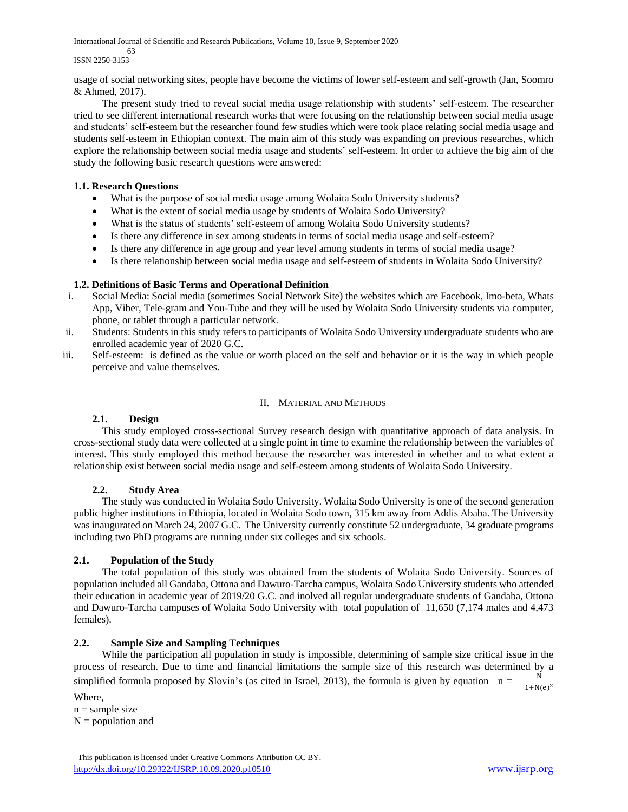International Journal of Scientific and Research Publications, Volume 10, Issue 9, September 2020

 63 ISSN 2250-3153

usage of social networking sites, people have become the victims of lower self-esteem and self-growth (Jan, Soomro & Ahmed, 2017).

 The present study tried to reveal social media usage relationship with students' self-esteem. The researcher tried to see different international research works that were focusing on the relationship between social media usage and students' self-esteem but the researcher found few studies which were took place relating social media usage and students self-esteem in Ethiopian context. The main aim of this study was expanding on previous researches, which explore the relationship between social media usage and students' self-esteem. In order to achieve the big aim of the study the following basic research questions were answered:

## **1.1. Research Questions**

- What is the purpose of social media usage among Wolaita Sodo University students?
- What is the extent of social media usage by students of Wolaita Sodo University?
- What is the status of students' self-esteem of among Wolaita Sodo University students?
- Is there any difference in sex among students in terms of social media usage and self-esteem?
- Is there any difference in age group and year level among students in terms of social media usage?
- Is there relationship between social media usage and self-esteem of students in Wolaita Sodo University?

#### **1.2. Definitions of Basic Terms and Operational Definition**

- i. Social Media: Social media (sometimes Social Network Site) the websites which are Facebook, Imo-beta, Whats App, Viber, Tele-gram and You-Tube and they will be used by Wolaita Sodo University students via computer, phone, or tablet through a particular network.
- ii. Students: Students in this study refers to participants of Wolaita Sodo University undergraduate students who are enrolled academic year of 2020 G.C.
- iii. Self-esteem: is defined as the value or worth placed on the self and behavior or it is the way in which people perceive and value themselves.

#### II. MATERIAL AND METHODS

#### **2.1. Design**

 This study employed cross-sectional Survey research design with quantitative approach of data analysis. In cross-sectional study data were collected at a single point in time to examine the relationship between the variables of interest. This study employed this method because the researcher was interested in whether and to what extent a relationship exist between social media usage and self-esteem among students of Wolaita Sodo University.

## **2.2. Study Area**

 The study was conducted in Wolaita Sodo University. Wolaita Sodo University is one of the second generation public higher institutions in Ethiopia, located in Wolaita Sodo town, 315 km away from Addis Ababa. The University was inaugurated on March 24, 2007 G.C. The University currently constitute 52 undergraduate, 34 graduate programs including two PhD programs are running under six colleges and six schools.

#### **2.1. Population of the Study**

 The total population of this study was obtained from the students of Wolaita Sodo University. Sources of population included all Gandaba, Ottona and Dawuro-Tarcha campus, Wolaita Sodo University students who attended their education in academic year of 2019/20 G.C. and inolved all regular undergraduate students of Gandaba, Ottona and Dawuro-Tarcha campuses of Wolaita Sodo University with total population of 11,650 (7,174 males and 4,473 females).

#### **2.2. Sample Size and Sampling Techniques**

While the participation all population in study is impossible, determining of sample size critical issue in the process of research. Due to time and financial limitations the sample size of this research was determined by a simplified formula proposed by Slovin's (as cited in Israel, 2013), the formula is given by equation  $n =$  $1+N(e)$ 2 Where,

 $n =$ sample size  $N =$  population and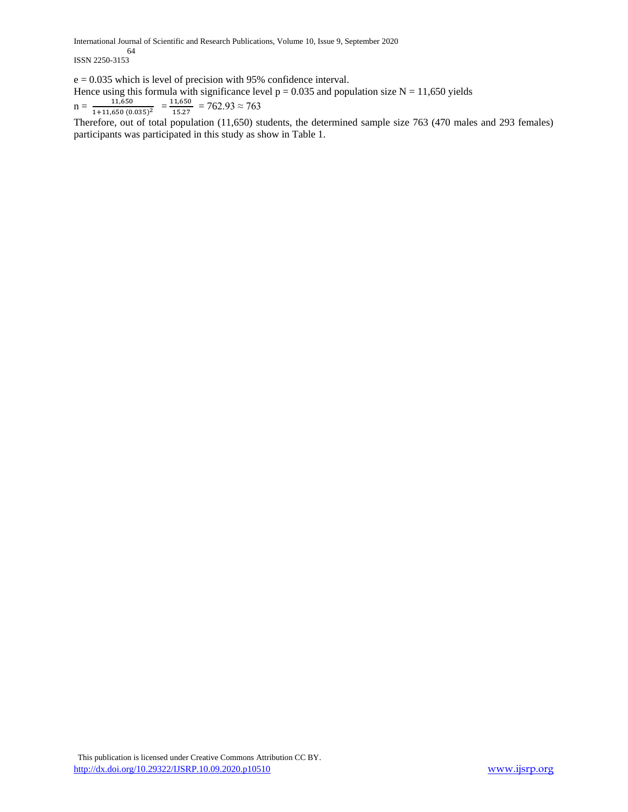International Journal of Scientific and Research Publications, Volume 10, Issue 9, September 2020

 64 ISSN 2250-3153

e = 0.035 which is level of precision with 95% confidence interval.

Hence using this formula with significance level  $p = 0.035$  and population size N = 11,650 yields  $n = \frac{11,650}{1,111,650,60}$  $\frac{11,650}{1+11,650(0.035)^2} = \frac{11,650}{15.27}$  $\frac{11,630}{15.27}$  = 762.93  $\approx$  763

Therefore, out of total population (11,650) students, the determined sample size 763 (470 males and 293 females) participants was participated in this study as show in Table 1.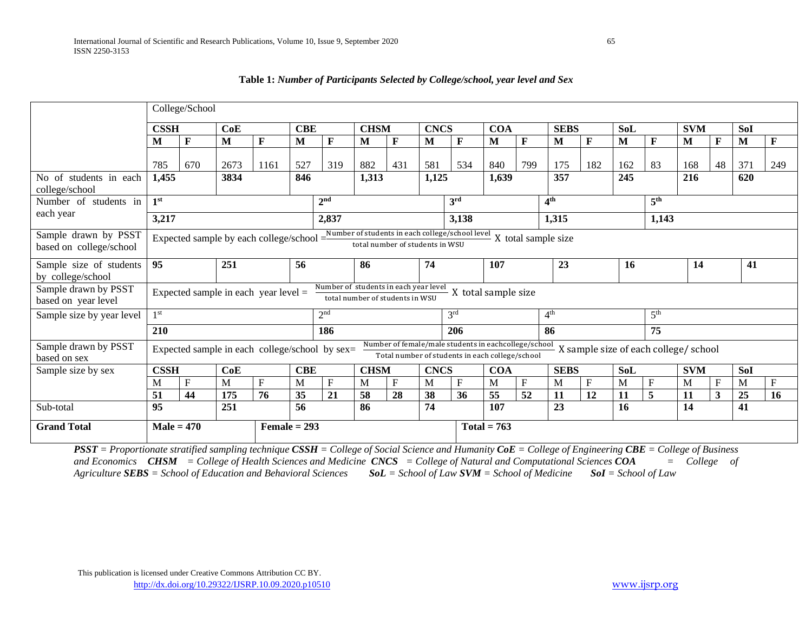|                                                 |                                                                                                                                                               | College/School                         |      |                |            |                                                |             |                                 |             |                                                                                                         |               |              |                 |              |            |                                       |            |    |            |              |
|-------------------------------------------------|---------------------------------------------------------------------------------------------------------------------------------------------------------------|----------------------------------------|------|----------------|------------|------------------------------------------------|-------------|---------------------------------|-------------|---------------------------------------------------------------------------------------------------------|---------------|--------------|-----------------|--------------|------------|---------------------------------------|------------|----|------------|--------------|
|                                                 | <b>CSSH</b>                                                                                                                                                   |                                        | CoE  |                | <b>CBE</b> |                                                | <b>CHSM</b> |                                 | <b>CNCS</b> |                                                                                                         | <b>COA</b>    |              | <b>SEBS</b>     |              | <b>SoL</b> |                                       | <b>SVM</b> |    | <b>SoI</b> |              |
|                                                 | M                                                                                                                                                             | F                                      | М    | F              | M          | F                                              | M           | F                               | М           | F                                                                                                       | M             | F            | M               | F            | M          | $\mathbf{F}$                          | M          | F  | M          | F            |
|                                                 | 785                                                                                                                                                           | 670                                    | 2673 | 1161           | 527        | 319                                            | 882         | 431                             | 581         | 534                                                                                                     | 840           | 799          | 175             | 182          | 162        | 83                                    | 168        | 48 | 371        | 249          |
| No of students in each<br>college/school        | 1,455                                                                                                                                                         |                                        | 3834 |                | 846        |                                                | 1,313       |                                 | 1,125       |                                                                                                         | 1,639         |              | 357             |              | 245        |                                       | 216        |    | 620        |              |
| Number of students in                           | 1 <sup>st</sup>                                                                                                                                               |                                        |      |                |            | 2 <sup>nd</sup>                                |             |                                 |             | 3 <sup>rd</sup>                                                                                         |               |              | 4 <sup>th</sup> |              |            | 5 <sup>th</sup>                       |            |    |            |              |
| each year                                       | 3,217                                                                                                                                                         |                                        |      |                |            | 2,837                                          |             |                                 |             | 3,138                                                                                                   |               |              | 1,315           |              |            | 1,143                                 |            |    |            |              |
| Sample drawn by PSST<br>based on college/school | Expected sample by each college/school $=\frac{Number of students in each college/school level}{4000} X$ total sample size<br>total number of students in WSU |                                        |      |                |            |                                                |             |                                 |             |                                                                                                         |               |              |                 |              |            |                                       |            |    |            |              |
| Sample size of students<br>by college/school    | 95                                                                                                                                                            |                                        | 251  |                | 56         |                                                | 86          |                                 | 74          |                                                                                                         | 107           |              | 23              |              | <b>16</b>  |                                       | 14         |    | 41         |              |
| Sample drawn by PSST<br>based on year level     |                                                                                                                                                               | Expected sample in each year level $=$ |      |                |            | Number of students in each year level          |             | total number of students in WSU |             | X total sample size                                                                                     |               |              |                 |              |            |                                       |            |    |            |              |
| Sample size by year level                       | 1st                                                                                                                                                           |                                        |      |                |            | 2 <sup>nd</sup>                                |             |                                 |             | 3 <sup>rd</sup>                                                                                         |               |              | 4 <sup>th</sup> |              |            | 5 <sup>th</sup>                       |            |    |            |              |
|                                                 | 210                                                                                                                                                           |                                        |      |                |            | 186                                            |             |                                 |             | 206                                                                                                     |               |              | 86              |              |            | 75                                    |            |    |            |              |
| Sample drawn by PSST<br>based on sex            |                                                                                                                                                               |                                        |      |                |            | Expected sample in each college/school by sex= |             |                                 |             | Number of female/male students in eachcollege/school<br>Total number of students in each college/school |               |              |                 |              |            | X sample size of each college/ school |            |    |            |              |
| Sample size by sex                              | <b>CSSH</b>                                                                                                                                                   |                                        | CoE  |                | <b>CBE</b> |                                                | <b>CHSM</b> |                                 | <b>CNCS</b> |                                                                                                         | <b>COA</b>    |              | <b>SEBS</b>     |              | SoL        |                                       | <b>SVM</b> |    | SoI        |              |
|                                                 | M                                                                                                                                                             | $\mathbf{F}$                           | M    | $F_{\rm}$      | M          | F                                              | M           | $\mathbf{F}$                    | M           | $\mathbf{F}$                                                                                            | M             | $\mathbf{F}$ | M               | $\mathbf{F}$ | M          | F                                     | M          | F  | M          | $\mathbf{F}$ |
|                                                 | 51                                                                                                                                                            | 44                                     | 175  | 76             | 35         | 21                                             | 58          | 28                              | 38          | 36                                                                                                      | 55            | 52           | 11              | 12           | 11         | 5                                     | 11         | 3  | 25         | 16           |
| Sub-total                                       | 95                                                                                                                                                            |                                        | 251  |                | 56         |                                                | 86          |                                 | 74          |                                                                                                         | 107           |              | 23              |              | 16         |                                       | 14         |    | 41         |              |
| <b>Grand Total</b>                              | $Male = 470$                                                                                                                                                  |                                        |      | Female $= 293$ |            |                                                |             |                                 |             |                                                                                                         | $Total = 763$ |              |                 |              |            |                                       |            |    |            |              |

**Table 1:** *Number of Participants Selected by College/school, year level and Sex*

*PSST = Proportionate stratified sampling technique CSSH = College of Social Science and Humanity CoE = College of Engineering CBE = College of Business and Economics CHSM = College of Health Sciences and Medicine CNCS = College of Natural and Computational Sciences COA = College of Agriculture SEBS = School of Education and Behavioral Sciences SoL = School of Law SVM = School of Medicine SoI = School of Law*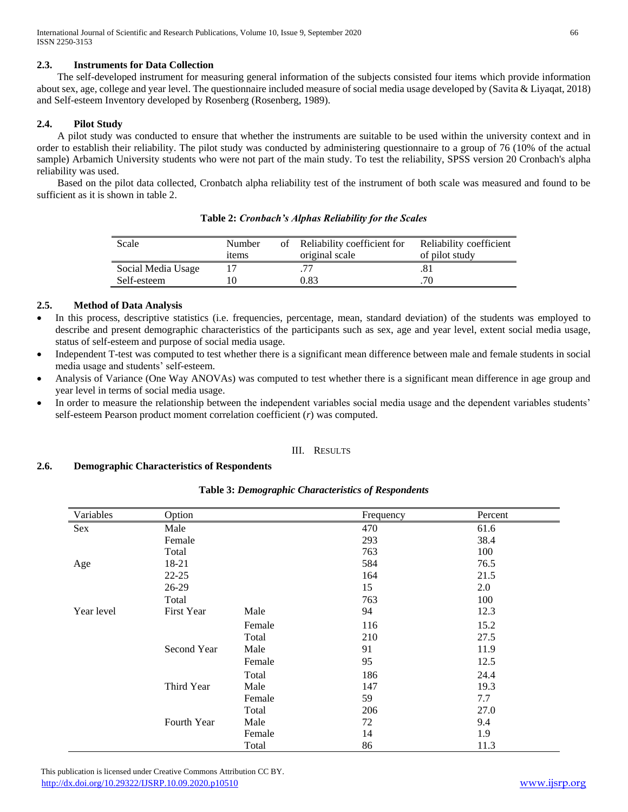## **2.3. Instruments for Data Collection**

 The self-developed instrument for measuring general information of the subjects consisted four items which provide information about sex, age, college and year level. The questionnaire included measure of social media usage developed by (Savita & Liyaqat, 2018) and Self-esteem Inventory developed by Rosenberg (Rosenberg, 1989).

## **2.4. Pilot Study**

 A pilot study was conducted to ensure that whether the instruments are suitable to be used within the university context and in order to establish their reliability. The pilot study was conducted by administering questionnaire to a group of 76 (10% of the actual sample) Arbamich University students who were not part of the main study. To test the reliability, SPSS version 20 Cronbach's alpha reliability was used.

 Based on the pilot data collected, Cronbatch alpha reliability test of the instrument of both scale was measured and found to be sufficient as it is shown in table 2.

| Scale              | Number<br>items | of | Reliability coefficient for<br>original scale | Reliability coefficient<br>of pilot study |
|--------------------|-----------------|----|-----------------------------------------------|-------------------------------------------|
| Social Media Usage |                 |    |                                               | .81                                       |
| Self-esteem        |                 |    | 0.83                                          | .70                                       |

**Table 2:** *Cronbach's Alphas Reliability for the Scales*

## **2.5. Method of Data Analysis**

- In this process, descriptive statistics (i.e. frequencies, percentage, mean, standard deviation) of the students was employed to describe and present demographic characteristics of the participants such as sex, age and year level, extent social media usage, status of self-esteem and purpose of social media usage.
- Independent T-test was computed to test whether there is a significant mean difference between male and female students in social media usage and students' self-esteem.
- Analysis of Variance (One Way ANOVAs) was computed to test whether there is a significant mean difference in age group and year level in terms of social media usage.
- In order to measure the relationship between the independent variables social media usage and the dependent variables students' self-esteem Pearson product moment correlation coefficient (*r*) was computed.

#### III. RESULTS

## **2.6. Demographic Characteristics of Respondents**

| Table 3: Demographic Characteristics of Respondents |  |
|-----------------------------------------------------|--|
|-----------------------------------------------------|--|

| Variables  | Option      |        | Frequency | Percent |
|------------|-------------|--------|-----------|---------|
| Sex        | Male        |        | 470       | 61.6    |
|            | Female      |        | 293       | 38.4    |
|            | Total       |        | 763       | 100     |
| Age        | 18-21       |        | 584       | 76.5    |
|            | $22 - 25$   |        | 164       | 21.5    |
|            | 26-29       |        | 15        | 2.0     |
|            | Total       |        | 763       | 100     |
| Year level | First Year  | Male   | 94        | 12.3    |
|            |             | Female | 116       | 15.2    |
|            |             | Total  | 210       | 27.5    |
|            | Second Year | Male   | 91        | 11.9    |
|            |             | Female | 95        | 12.5    |
|            |             | Total  | 186       | 24.4    |
|            | Third Year  | Male   | 147       | 19.3    |
|            |             | Female | 59        | 7.7     |
|            |             | Total  | 206       | 27.0    |
|            | Fourth Year | Male   | 72        | 9.4     |
|            |             | Female | 14        | 1.9     |
|            |             | Total  | 86        | 11.3    |

 This publication is licensed under Creative Commons Attribution CC BY. <http://dx.doi.org/10.29322/IJSRP.10.09.2020.p10510> [www.ijsrp.org](http://ijsrp.org/)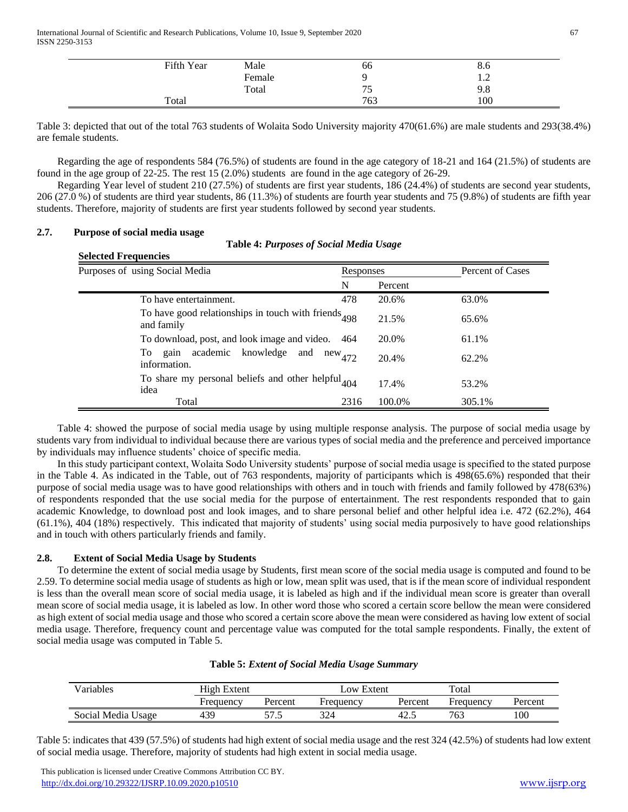| Fifth Year | Male   | - -<br>00                      | 8.0            |
|------------|--------|--------------------------------|----------------|
|            | Female |                                | $\overline{1}$ |
|            | Total  | $\overline{\phantom{a}}$<br>ັບ | 9.8            |
| Total      |        | 763                            | 100            |

Table 3: depicted that out of the total 763 students of Wolaita Sodo University majority 470(61.6%) are male students and 293(38.4%) are female students.

 Regarding the age of respondents 584 (76.5%) of students are found in the age category of 18-21 and 164 (21.5%) of students are found in the age group of 22-25. The rest 15 (2.0%) students are found in the age category of 26-29.

 Regarding Year level of student 210 (27.5%) of students are first year students, 186 (24.4%) of students are second year students, 206 (27.0 %) of students are third year students, 86 (11.3%) of students are fourth year students and 75 (9.8%) of students are fifth year students. Therefore, majority of students are first year students followed by second year students.

## **2.7. Purpose of social media usage Selected Frequencies**

|  | <b>Table 4: Purposes of Social Media Usage</b> |  |  |  |
|--|------------------------------------------------|--|--|--|
|--|------------------------------------------------|--|--|--|

| Purposes of using Social Media                                        | Responses   |         | Percent of Cases |
|-----------------------------------------------------------------------|-------------|---------|------------------|
|                                                                       | N           | Percent |                  |
| To have entertainment.                                                | 478         | 20.6%   | 63.0%            |
| To have good relationships in touch with friends 498<br>and family    |             | 21.5%   | 65.6%            |
| To download, post, and look image and video.                          | 464         | 20.0%   | 61.1%            |
| To gain academic knowledge and<br>information.                        | $new_{472}$ | 20.4%   | 62.2%            |
| To share my personal beliefs and other helpful <sub>404</sub><br>idea |             | 17.4%   | 53.2%            |
| Total                                                                 | 2316        | 100.0%  | 305.1%           |

 Table 4: showed the purpose of social media usage by using multiple response analysis. The purpose of social media usage by students vary from individual to individual because there are various types of social media and the preference and perceived importance by individuals may influence students' choice of specific media.

 In this study participant context, Wolaita Sodo University students' purpose of social media usage is specified to the stated purpose in the Table 4. As indicated in the Table, out of 763 respondents, majority of participants which is 498(65.6%) responded that their purpose of social media usage was to have good relationships with others and in touch with friends and family followed by 478(63%) of respondents responded that the use social media for the purpose of entertainment. The rest respondents responded that to gain academic Knowledge, to download post and look images, and to share personal belief and other helpful idea i.e. 472 (62.2%), 464 (61.1%), 404 (18%) respectively. This indicated that majority of students' using social media purposively to have good relationships and in touch with others particularly friends and family.

## **2.8. Extent of Social Media Usage by Students**

 To determine the extent of social media usage by Students, first mean score of the social media usage is computed and found to be 2.59. To determine social media usage of students as high or low, mean split was used, that is if the mean score of individual respondent is less than the overall mean score of social media usage, it is labeled as high and if the individual mean score is greater than overall mean score of social media usage, it is labeled as low. In other word those who scored a certain score bellow the mean were considered as high extent of social media usage and those who scored a certain score above the mean were considered as having low extent of social media usage. Therefore, frequency count and percentage value was computed for the total sample respondents. Finally, the extent of social media usage was computed in Table 5.

| Variables          | <b>High Extent</b> |         | Low Extent |         | Total     |         |  |
|--------------------|--------------------|---------|------------|---------|-----------|---------|--|
|                    | Frequency          | Percent | Frequency  | Percent | Frequency | Percent |  |
| Social Media Usage | 439                | ໍ່      | 224        | 42.     | 763       | 100     |  |

## **Table 5:** *Extent of Social Media Usage Summary*

Table 5: indicates that 439 (57.5%) of students had high extent of social media usage and the rest 324 (42.5%) of students had low extent of social media usage. Therefore, majority of students had high extent in social media usage.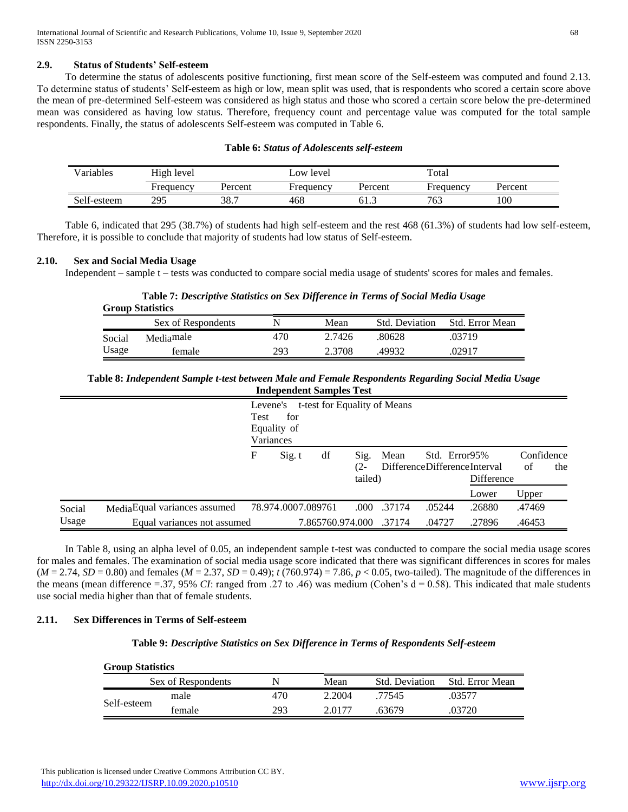## **2.9. Status of Students' Self-esteem**

 To determine the status of adolescents positive functioning, first mean score of the Self-esteem was computed and found 2.13. To determine status of students' Self-esteem as high or low, mean split was used, that is respondents who scored a certain score above the mean of pre-determined Self-esteem was considered as high status and those who scored a certain score below the pre-determined mean was considered as having low status. Therefore, frequency count and percentage value was computed for the total sample respondents. Finally, the status of adolescents Self-esteem was computed in Table 6.

#### **Table 6:** *Status of Adolescents self-esteem*

| Variables   | High level |         | Low level |         | Total     |         |  |
|-------------|------------|---------|-----------|---------|-----------|---------|--|
|             | Frequency  | Percent | Frequency | Percent | Frequency | Percent |  |
| Self-esteem | 205<br>ر ر | 38.7    | 468       | 61.3    | 763       | 100     |  |

 Table 6, indicated that 295 (38.7%) of students had high self-esteem and the rest 468 (61.3%) of students had low self-esteem, Therefore, it is possible to conclude that majority of students had low status of Self-esteem.

#### **2.10. Sex and Social Media Usage**

Independent – sample t – tests was conducted to compare social media usage of students' scores for males and females.

**Table 7:** *Descriptive Statistics on Sex Difference in Terms of Social Media Usage* **Group Statistics**

|                                               |                    |      |                       | 51000                  |  |  |  |  |  |  |  |  |  |  |
|-----------------------------------------------|--------------------|------|-----------------------|------------------------|--|--|--|--|--|--|--|--|--|--|
|                                               | Sex of Respondents | Mean | <b>Std.</b> Deviation | <b>Std. Error Mean</b> |  |  |  |  |  |  |  |  |  |  |
| 470<br>2.7426<br>80628<br>Mediamale<br>Social |                    |      |                       | .03719                 |  |  |  |  |  |  |  |  |  |  |
| Usage<br>293<br>49932<br>2.3708<br>female     |                    |      |                       | .02917                 |  |  |  |  |  |  |  |  |  |  |

**Table 8:** *Independent Sample t-test between Male and Female Respondents Regarding Social Media Usage* **Independent Samples Test**

|        |                               | Test | Levene's<br>for<br>Equality of<br>Variances |    |                        | t-test for Equality of Means |                                               |            |                  |     |
|--------|-------------------------------|------|---------------------------------------------|----|------------------------|------------------------------|-----------------------------------------------|------------|------------------|-----|
|        |                               | F    | Sig. t                                      | df | Sig.<br>(2-<br>tailed) | Mean                         | Std. Error95%<br>DifferenceDifferenceInterval | Difference | Confidence<br>of | the |
|        |                               |      |                                             |    |                        |                              |                                               | Lower      | Upper            |     |
| Social | Media Equal variances assumed |      | 78.974.0007.089761                          |    | .000                   | .37174                       | .05244                                        | .26880     | .47469           |     |
| Usage  | Equal variances not assumed   |      |                                             |    | 7.865760.974.000       | .37174                       | .04727                                        | .27896     | .46453           |     |

 In Table 8, using an alpha level of 0.05, an independent sample t-test was conducted to compare the social media usage scores for males and females. The examination of social media usage score indicated that there was significant differences in scores for males  $(M = 2.74, SD = 0.80)$  and females  $(M = 2.37, SD = 0.49)$ ;  $t(760.974) = 7.86$ ,  $p < 0.05$ , two-tailed). The magnitude of the differences in the means (mean difference =.37, 95% *CI*: ranged from .27 to .46) was medium (Cohen's  $d = 0.58$ ). This indicated that male students use social media higher than that of female students.

#### **2.11. Sex Differences in Terms of Self-esteem**

#### **Table 9:** *Descriptive Statistics on Sex Difference in Terms of Respondents Self-esteem*

| <b>Group Statistics</b> |                    |     |        |                       |                        |  |  |
|-------------------------|--------------------|-----|--------|-----------------------|------------------------|--|--|
|                         | Sex of Respondents |     | Mean   | <b>Std.</b> Deviation | <b>Std. Error Mean</b> |  |  |
| Self-esteem             | male               | 470 | 2.2004 | 77545                 | .03577                 |  |  |
|                         | female             | 293 | 2.0177 | 63679                 | .03720                 |  |  |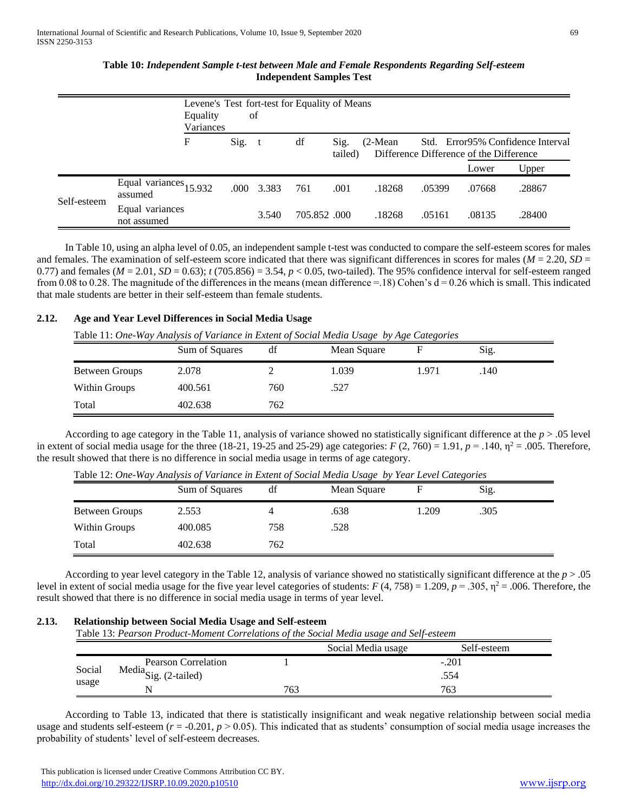## **Table 10:** *Independent Sample t-test between Male and Female Respondents Regarding Self-esteem* **Independent Samples Test**

|             |                                   | Levene's Test fort-test for Equality of Means<br>of<br>Equality<br>Variances |      |       |             |                 |            |        |                                                  |                                            |
|-------------|-----------------------------------|------------------------------------------------------------------------------|------|-------|-------------|-----------------|------------|--------|--------------------------------------------------|--------------------------------------------|
|             |                                   | F                                                                            | Sig. | t     | df          | Sig.<br>tailed) | $(2-Mean)$ |        | Difference Difference of the Difference<br>Lower | Std. Error95% Confidence Interval<br>Upper |
|             |                                   |                                                                              |      |       |             |                 |            |        |                                                  |                                            |
| Self-esteem | Equal variances 15.932<br>assumed |                                                                              | .000 | 3.383 | 761         | .001            | .18268     | .05399 | .07668                                           | .28867                                     |
|             | Equal variances<br>not assumed    |                                                                              |      | 3.540 | 705.852.000 |                 | .18268     | .05161 | .08135                                           | .28400                                     |

 In Table 10, using an alpha level of 0.05, an independent sample t-test was conducted to compare the self-esteem scores for males and females. The examination of self-esteem score indicated that there was significant differences in scores for males ( $M = 2.20$ ,  $SD =$ 0.77) and females ( $M = 2.01$ ,  $SD = 0.63$ );  $t(705.856) = 3.54$ ,  $p < 0.05$ , two-tailed). The 95% confidence interval for self-esteem ranged from 0.08 to 0.28. The magnitude of the differences in the means (mean difference  $=$  18) Cohen's d  $=$  0.26 which is small. This indicated that male students are better in their self-esteem than female students.

## **2.12. Age and Year Level Differences in Social Media Usage**

Table 11: *One-Way Analysis of Variance in Extent of Social Media Usage by Age Categories*

|                       | Sum of Squares | df  | $\cdot$<br>$\sim$<br>Mean Square | F     | Sig. |
|-----------------------|----------------|-----|----------------------------------|-------|------|
| <b>Between Groups</b> | 2.078          |     | 1.039                            | 1.971 | .140 |
| Within Groups         | 400.561        | 760 | .527                             |       |      |
| Total                 | 402.638        | 762 |                                  |       |      |

 According to age category in the Table 11, analysis of variance showed no statistically significant difference at the *p* > .05 level in extent of social media usage for the three (18-21, 19-25 and 25-29) age categories:  $F(2, 760) = 1.91$ ,  $p = .140$ ,  $p^2 = .005$ . Therefore, the result showed that there is no difference in social media usage in terms of age category.

|                | Sum of Squares | df  | Mean Square |      | Sig. |  |
|----------------|----------------|-----|-------------|------|------|--|
| Between Groups | 2.553          |     | .638        | .209 | .305 |  |
| Within Groups  | 400.085        | 758 | .528        |      |      |  |
| Total          | 402.638        | 762 |             |      |      |  |

Table 12: *One-Way Analysis of Variance in Extent of Social Media Usage by Year Level Categories*

 According to year level category in the Table 12, analysis of variance showed no statistically significant difference at the *p* > .05 level in extent of social media usage for the five year level categories of students:  $F(4, 758) = 1.209$ ,  $p = .305$ ,  $p^2 = .006$ . Therefore, the result showed that there is no difference in social media usage in terms of year level.

#### **2.13. Relationship between Social Media Usage and Self-esteem**

Table 13: *Pearson Product-Moment Correlations of the Social Media usage and Self-esteem*

|                 |                                |     | Social Media usage | Self-esteem |  |
|-----------------|--------------------------------|-----|--------------------|-------------|--|
| Social<br>usage | Pearson Correlation            |     | $-.201$            |             |  |
|                 | Media $\text{Sig.}$ (2-tailed) |     |                    | .554        |  |
|                 | N                              | 763 |                    | 763         |  |

 According to Table 13, indicated that there is statistically insignificant and weak negative relationship between social media usage and students self-esteem  $(r = -0.201, p > 0.05)$ . This indicated that as students' consumption of social media usage increases the probability of students' level of self-esteem decreases.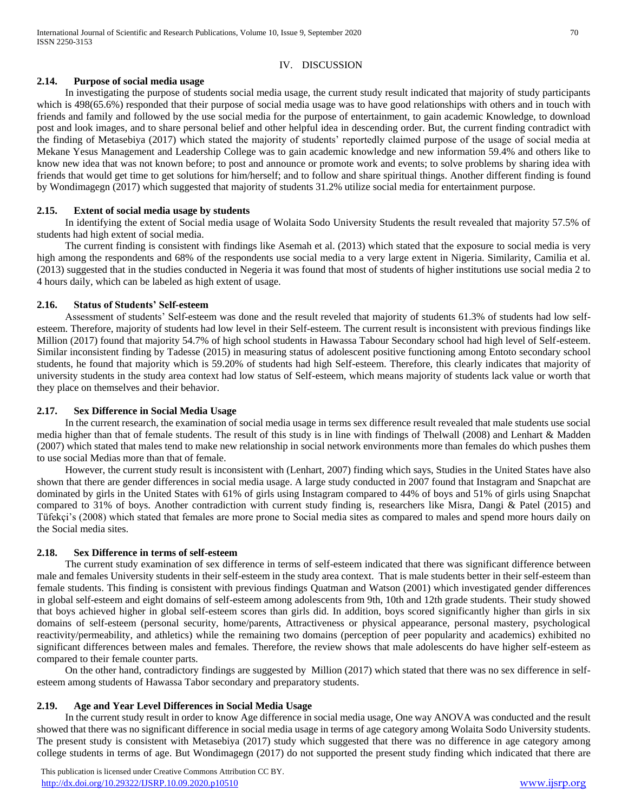## IV. DISCUSSION

## **2.14. Purpose of social media usage**

 In investigating the purpose of students social media usage, the current study result indicated that majority of study participants which is 498(65.6%) responded that their purpose of social media usage was to have good relationships with others and in touch with friends and family and followed by the use social media for the purpose of entertainment, to gain academic Knowledge, to download post and look images, and to share personal belief and other helpful idea in descending order. But, the current finding contradict with the finding of Metasebiya (2017) which stated the majority of students' reportedly claimed purpose of the usage of social media at Mekane Yesus Management and Leadership College was to gain academic knowledge and new information 59.4% and others like to know new idea that was not known before; to post and announce or promote work and events; to solve problems by sharing idea with friends that would get time to get solutions for him/herself; and to follow and share spiritual things. Another different finding is found by Wondimagegn (2017) which suggested that majority of students 31.2% utilize social media for entertainment purpose.

#### **2.15. Extent of social media usage by students**

 In identifying the extent of Social media usage of Wolaita Sodo University Students the result revealed that majority 57.5% of students had high extent of social media.

 The current finding is consistent with findings like Asemah et al. (2013) which stated that the exposure to social media is very high among the respondents and 68% of the respondents use social media to a very large extent in Nigeria. Similarity, Camilia et al. (2013) suggested that in the studies conducted in Negeria it was found that most of students of higher institutions use social media 2 to 4 hours daily, which can be labeled as high extent of usage.

#### **2.16. Status of Students' Self-esteem**

 Assessment of students' Self-esteem was done and the result reveled that majority of students 61.3% of students had low selfesteem. Therefore, majority of students had low level in their Self-esteem. The current result is inconsistent with previous findings like Million (2017) found that majority 54.7% of high school students in Hawassa Tabour Secondary school had high level of Self-esteem. Similar inconsistent finding by Tadesse (2015) in measuring status of adolescent positive functioning among Entoto secondary school students, he found that majority which is 59.20% of students had high Self-esteem. Therefore, this clearly indicates that majority of university students in the study area context had low status of Self-esteem, which means majority of students lack value or worth that they place on themselves and their behavior.

#### **2.17. Sex Difference in Social Media Usage**

 In the current research, the examination of social media usage in terms sex difference result revealed that male students use social media higher than that of female students. The result of this study is in line with findings of Thelwall (2008) and Lenhart & Madden (2007) which stated that males tend to make new relationship in social network environments more than females do which pushes them to use social Medias more than that of female.

 However, the current study result is inconsistent with (Lenhart, 2007) finding which says, Studies in the United States have also shown that there are gender differences in social media usage. A large study conducted in 2007 found that Instagram and Snapchat are dominated by girls in the United States with 61% of girls using Instagram compared to 44% of boys and 51% of girls using Snapchat compared to 31% of boys. Another contradiction with current study finding is, researchers like Misra, Dangi & Patel (2015) and Tüfekçi's (2008) which stated that females are more prone to Social media sites as compared to males and spend more hours daily on the Social media sites.

## **2.18. Sex Difference in terms of self-esteem**

 The current study examination of sex difference in terms of self-esteem indicated that there was significant difference between male and females University students in their self-esteem in the study area context. That is male students better in their self-esteem than female students. This finding is consistent with previous findings Quatman and Watson (2001) which investigated gender differences in global self-esteem and eight domains of self-esteem among adolescents from 9th, 10th and 12th grade students. Their study showed that boys achieved higher in global self-esteem scores than girls did. In addition, boys scored significantly higher than girls in six domains of self-esteem (personal security, home/parents, Attractiveness or physical appearance, personal mastery, psychological reactivity/permeability, and athletics) while the remaining two domains (perception of peer popularity and academics) exhibited no significant differences between males and females. Therefore, the review shows that male adolescents do have higher self-esteem as compared to their female counter parts.

 On the other hand, contradictory findings are suggested by Million (2017) which stated that there was no sex difference in selfesteem among students of Hawassa Tabor secondary and preparatory students.

## **2.19. Age and Year Level Differences in Social Media Usage**

 In the current study result in order to know Age difference in social media usage, One way ANOVA was conducted and the result showed that there was no significant difference in social media usage in terms of age category among Wolaita Sodo University students. The present study is consistent with Metasebiya (2017) study which suggested that there was no difference in age category among college students in terms of age. But Wondimagegn (2017) do not supported the present study finding which indicated that there are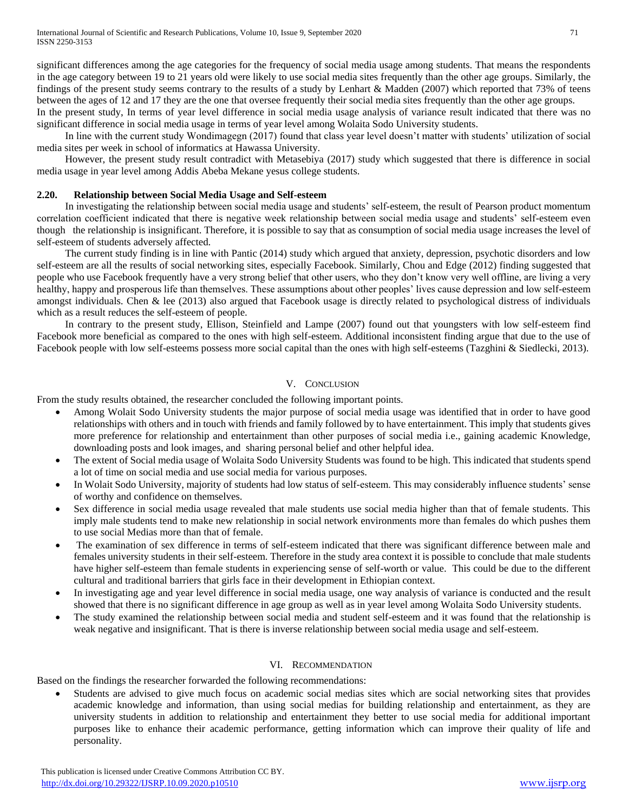significant differences among the age categories for the frequency of social media usage among students. That means the respondents in the age category between 19 to 21 years old were likely to use social media sites frequently than the other age groups. Similarly, the findings of the present study seems contrary to the results of a study by Lenhart & Madden (2007) which reported that 73% of teens between the ages of 12 and 17 they are the one that oversee frequently their social media sites frequently than the other age groups.

In the present study, In terms of year level difference in social media usage analysis of variance result indicated that there was no significant difference in social media usage in terms of year level among Wolaita Sodo University students.

 In line with the current study Wondimagegn (2017) found that class year level doesn't matter with students' utilization of social media sites per week in school of informatics at Hawassa University.

 However, the present study result contradict with Metasebiya (2017) study which suggested that there is difference in social media usage in year level among Addis Abeba Mekane yesus college students.

#### **2.20. Relationship between Social Media Usage and Self-esteem**

 In investigating the relationship between social media usage and students' self-esteem, the result of Pearson product momentum correlation coefficient indicated that there is negative week relationship between social media usage and students' self-esteem even though the relationship is insignificant. Therefore, it is possible to say that as consumption of social media usage increases the level of self-esteem of students adversely affected.

 The current study finding is in line with Pantic (2014) study which argued that anxiety, depression, psychotic disorders and low self-esteem are all the results of social networking sites, especially Facebook. Similarly, Chou and Edge (2012) finding suggested that people who use Facebook frequently have a very strong belief that other users, who they don't know very well offline, are living a very healthy, happy and prosperous life than themselves. These assumptions about other peoples' lives cause depression and low self-esteem amongst individuals. Chen & lee (2013) also argued that Facebook usage is directly related to psychological distress of individuals which as a result reduces the self-esteem of people.

 In contrary to the present study, Ellison, Steinfield and Lampe (2007) found out that youngsters with low self-esteem find Facebook more beneficial as compared to the ones with high self-esteem. Additional inconsistent finding argue that due to the use of Facebook people with low self-esteems possess more social capital than the ones with high self-esteems (Tazghini & Siedlecki, 2013).

#### V. CONCLUSION

From the study results obtained, the researcher concluded the following important points.

- Among Wolait Sodo University students the major purpose of social media usage was identified that in order to have good relationships with others and in touch with friends and family followed by to have entertainment. This imply that students gives more preference for relationship and entertainment than other purposes of social media i.e., gaining academic Knowledge, downloading posts and look images, and sharing personal belief and other helpful idea.
- The extent of Social media usage of Wolaita Sodo University Students was found to be high. This indicated that students spend a lot of time on social media and use social media for various purposes.
- In Wolait Sodo University, majority of students had low status of self-esteem. This may considerably influence students' sense of worthy and confidence on themselves.
- Sex difference in social media usage revealed that male students use social media higher than that of female students. This imply male students tend to make new relationship in social network environments more than females do which pushes them to use social Medias more than that of female.
- The examination of sex difference in terms of self-esteem indicated that there was significant difference between male and females university students in their self-esteem. Therefore in the study area context it is possible to conclude that male students have higher self-esteem than female students in experiencing sense of self-worth or value. This could be due to the different cultural and traditional barriers that girls face in their development in Ethiopian context.
- In investigating age and year level difference in social media usage, one way analysis of variance is conducted and the result showed that there is no significant difference in age group as well as in year level among Wolaita Sodo University students.
- The study examined the relationship between social media and student self-esteem and it was found that the relationship is weak negative and insignificant. That is there is inverse relationship between social media usage and self-esteem.

#### VI. RECOMMENDATION

Based on the findings the researcher forwarded the following recommendations:

 Students are advised to give much focus on academic social medias sites which are social networking sites that provides academic knowledge and information, than using social medias for building relationship and entertainment, as they are university students in addition to relationship and entertainment they better to use social media for additional important purposes like to enhance their academic performance, getting information which can improve their quality of life and personality.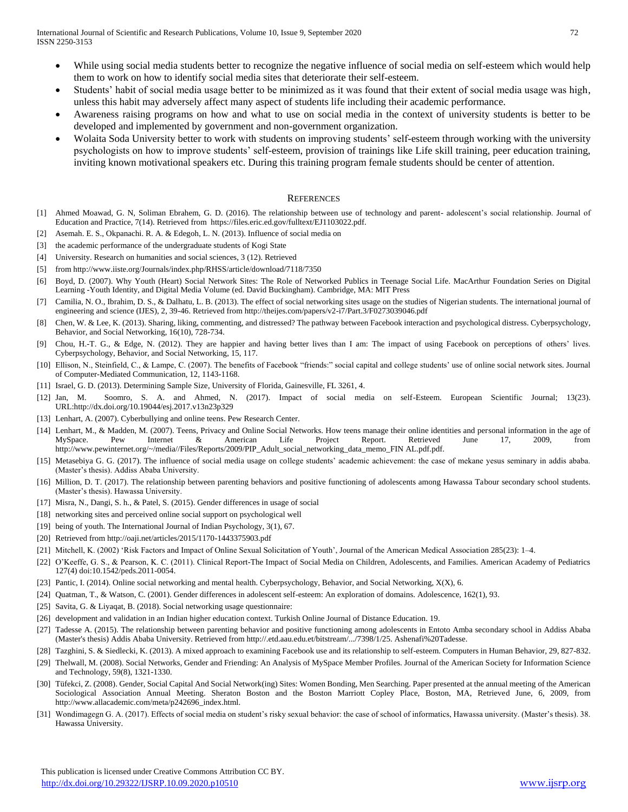- While using social media students better to recognize the negative influence of social media on self-esteem which would help them to work on how to identify social media sites that deteriorate their self-esteem.
- Students' habit of social media usage better to be minimized as it was found that their extent of social media usage was high, unless this habit may adversely affect many aspect of students life including their academic performance.
- Awareness raising programs on how and what to use on social media in the context of university students is better to be developed and implemented by government and non-government organization.
- Wolaita Soda University better to work with students on improving students' self-esteem through working with the university psychologists on how to improve students' self-esteem, provision of trainings like Life skill training, peer education training, inviting known motivational speakers etc. During this training program female students should be center of attention.

#### **REFERENCES**

- [1] Ahmed Moawad, G. N, Soliman Ebrahem, G. D. (2016). The relationship between use of technology and parent- adolescent's social relationship. Journal of Education and Practice, 7(14). Retrieved from https://files.eric.ed.gov/fulltext/EJ1103022.pdf.
- [2] Asemah. E. S., Okpanachi. R. A. & Edegoh, L. N. (2013). Influence of social media on
- [3] the academic performance of the undergraduate students of Kogi State
- [4] University. Research on humanities and social sciences, 3 (12). Retrieved
- [5] from http://www.iiste.org/Journals/index.php/RHSS/article/download/7118/7350
- [6] Boyd, D. (2007). Why Youth (Heart) Social Network Sites: The Role of Networked Publics in Teenage Social Life. MacArthur Foundation Series on Digital Learning -Youth Identity, and Digital Media Volume (ed. David Buckingham). Cambridge, MA: MIT Press
- [7] Camilia, N. O., Ibrahim, D. S., & Dalhatu, L. B. (2013). The effect of social networking sites usage on the studies of Nigerian students. The international journal of engineering and science (IJES), 2, 39-46. Retrieved from http://theijes.com/papers/v2-i7/Part.3/F0273039046.pdf
- [8] Chen, W. & Lee, K. (2013). Sharing, liking, commenting, and distressed? The pathway between Facebook interaction and psychological distress. Cyberpsychology, Behavior, and Social Networking, 16(10), 728-734.
- [9] Chou, H.-T. G., & Edge, N. (2012). They are happier and having better lives than I am: The impact of using Facebook on perceptions of others' lives. Cyberpsychology, Behavior, and Social Networking, 15, 117.
- [10] Ellison, N., Steinfield, C., & Lampe, C. (2007). The benefits of Facebook "friends:" social capital and college students' use of online social network sites. Journal of Computer-Mediated Communication, 12, 1143-1168.
- [11] Israel, G. D. (2013). Determining Sample Size, University of Florida, Gainesville, FL 3261, 4.
- [12] Jan, M. Soomro, S. A. and Ahmed, N. (2017). Impact of social media on self-Esteem. European Scientific Journal; 13(23). URL:http://dx.doi.org/10.19044/esj.2017.v13n23p329
- [13] Lenhart, A. (2007). Cyberbullying and online teens. Pew Research Center.
- [14] Lenhart, M., & Madden, M. (2007). Teens, Privacy and Online Social Networks. How teens manage their online identities and personal information in the age of MySpace. Pew Internet & American Life Project Report. Retrieved June 17, 2009, from http://www.pewinternet.org/~/media//Files/Reports/2009/PIP\_Adult\_social\_networking\_data\_memo\_FIN AL.pdf.pdf.
- [15] Metasebiya G. G. (2017). The influence of social media usage on college students' academic achievement: the case of mekane yesus seminary in addis ababa. (Master's thesis). Addiss Ababa University.
- [16] Million, D. T. (2017). The relationship between parenting behaviors and positive functioning of adolescents among Hawassa Tabour secondary school students. (Master's thesis). Hawassa University.
- [17] Misra, N., Dangi, S. h., & Patel, S. (2015). Gender differences in usage of social
- [18] networking sites and perceived online social support on psychological well
- [19] being of youth. The International Journal of Indian Psychology, 3(1), 67.
- [20] Retrieved from http://oaji.net/articles/2015/1170-1443375903.pdf
- [21] Mitchell, K. (2002) 'Risk Factors and Impact of Online Sexual Solicitation of Youth', Journal of the American Medical Association 285(23): 1–4.
- [22] O'Keeffe, G. S., & Pearson, K. C. (2011). Clinical Report-The Impact of Social Media on Children, Adolescents, and Families. American Academy of Pediatrics 127(4) doi:10.1542/peds.2011-0054.
- [23] Pantic, I. (2014). Online social networking and mental health. Cyberpsychology, Behavior, and Social Networking, X(X), 6.
- [24] Quatman, T., & Watson, C. (2001). Gender differences in adolescent self-esteem: An exploration of domains. Adolescence, 162(1), 93.
- [25] Savita, G. & Liyaqat, B. (2018). Social networking usage questionnaire:
- [26] development and validation in an Indian higher education context. Turkish Online Journal of Distance Education. 19.
- [27] Tadesse A. (2015). The relationship between parenting behavior and positive functioning among adolescents in Entoto Amba secondary school in Addiss Ababa (Master's thesis) Addis Ababa University. Retrieved from http://.etd.aau.edu.et/bitstream/.../7398/1/25. Ashenafi%20Tadesse.
- [28] Tazghini, S. & Siedlecki, K. (2013). A mixed approach to examining Facebook use and its relationship to self-esteem. Computers in Human Behavior, 29, 827-832.
- [29] Thelwall, M. (2008). Social Networks, Gender and Friending: An Analysis of MySpace Member Profiles. Journal of the American Society for Information Science and Technology, 59(8), 1321-1330.
- [30] Tüfekci, Z. (2008). Gender, Social Capital And Social Network(ing) Sites: Women Bonding, Men Searching. Paper presented at the annual meeting of the American Sociological Association Annual Meeting. Sheraton Boston and the Boston Marriott Copley Place, Boston, MA, Retrieved June, 6, 2009, from http://www.allacademic.com/meta/p242696\_index.html.
- [31] Wondimagegn G. A. (2017). Effects of social media on student's risky sexual behavior: the case of school of informatics, Hawassa university. (Master's thesis). 38. Hawassa University.